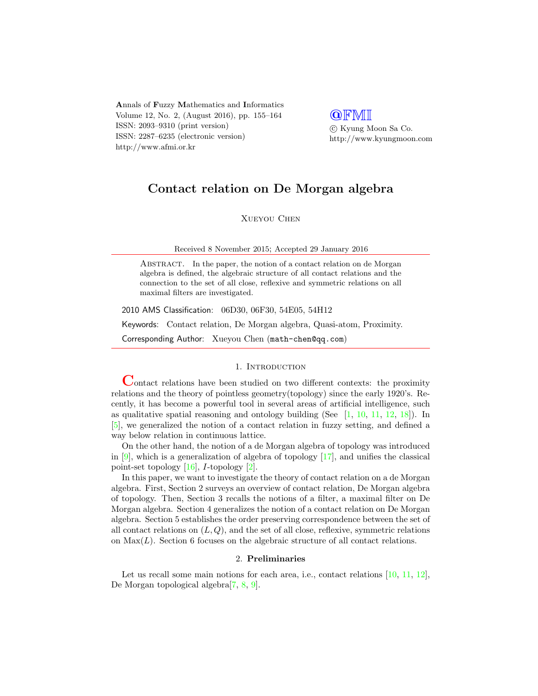Annals of Fuzzy Mathematics and Informatics Volume 12, No. 2, (August 2016), pp. 155–164 ISSN: 2093–9310 (print version) ISSN: 2287–6235 (electronic version) http://www.afmi.or.kr

**QFMI**  c Kyung Moon Sa Co. http://www.kyungmoon.com

# Contact relation on De Morgan algebra

Xueyou Chen

Received 8 November 2015; Accepted 29 January 2016

ABSTRACT. In the paper, the notion of a contact relation on de Morgan algebra is defined, the algebraic structure of all contact relations and the connection to the set of all close, reflexive and symmetric relations on all maximal filters are investigated.

2010 AMS Classification: 06D30, 06F30, 54E05, 54H12

Keywords: Contact relation, De Morgan algebra, Quasi-atom, Proximity.

Corresponding Author: Xueyou Chen (math-chen@qq.com)

### 1. INTRODUCTION

Contact relations have been studied on two different contexts: the proximity relations and the theory of pointless geometry(topology) since the early 1920's. Recently, it has become a powerful tool in several areas of artificial intelligence, such as qualitative spatial reasoning and ontology building (See  $[1, 10, 11, 12, 18]$  $[1, 10, 11, 12, 18]$  $[1, 10, 11, 12, 18]$  $[1, 10, 11, 12, 18]$  $[1, 10, 11, 12, 18]$  $[1, 10, 11, 12, 18]$  $[1, 10, 11, 12, 18]$  $[1, 10, 11, 12, 18]$  $[1, 10, 11, 12, 18]$ ). In [\[5\]](#page-8-4), we generalized the notion of a contact relation in fuzzy setting, and defined a way below relation in continuous lattice.

On the other hand, the notion of a de Morgan algebra of topology was introduced in  $[9]$ , which is a generalization of algebra of topology  $[17]$ , and unifies the classical point-set topology  $[16]$ , *I*-topology  $[2]$ .

In this paper, we want to investigate the theory of contact relation on a de Morgan algebra. First, Section 2 surveys an overview of contact relation, De Morgan algebra of topology. Then, Section 3 recalls the notions of a filter, a maximal filter on De Morgan algebra. Section 4 generalizes the notion of a contact relation on De Morgan algebra. Section 5 establishes the order preserving correspondence between the set of all contact relations on  $(L, Q)$ , and the set of all close, reflexive, symmetric relations on  $Max(L)$ . Section 6 focuses on the algebraic structure of all contact relations.

### 2. Preliminaries

Let us recall some main notions for each area, i.e., contact relations [\[10,](#page-8-1) [11,](#page-8-2) [12\]](#page-8-3), De Morgan topological algebra[\[7,](#page-8-7) [8,](#page-8-8) [9\]](#page-8-5).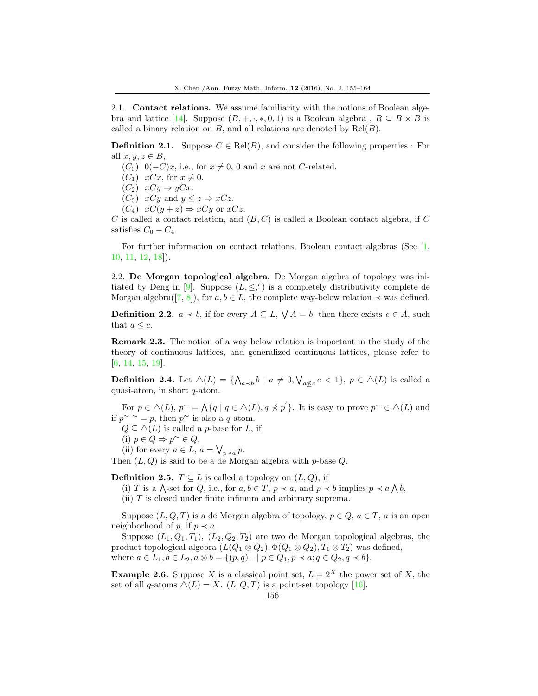2.1. Contact relations. We assume familiarity with the notions of Boolean alge-bra and lattice [\[14\]](#page-8-9). Suppose  $(B, +, \cdot, *, 0, 1)$  is a Boolean algebra,  $R \subseteq B \times B$  is called a binary relation on  $B$ , and all relations are denoted by  $\text{Rel}(B)$ .

**Definition 2.1.** Suppose  $C \in Rel(B)$ , and consider the following properties : For all  $x, y, z \in B$ ,

- $(C_0)$  0( $-C$ )x, i.e., for  $x \neq 0$ , 0 and x are not C-related.
- $(C_1)$   $xCx$ , for  $x \neq 0$ .
- $(C_2)$   $xCy \Rightarrow yCx$ .

 $(C_3)$  xCy and  $y \leq z \Rightarrow xCz$ .

 $(C_4)$   $xC(y+z) \Rightarrow xCy$  or  $xCz$ .

 $C$  is called a contact relation, and  $(B, C)$  is called a Boolean contact algebra, if  $C$ satisfies  $C_0 - C_4$ .

For further information on contact relations, Boolean contact algebras (See [\[1,](#page-8-0) [10,](#page-8-1) [11,](#page-8-2) [12,](#page-8-3) [18\]](#page-9-0)).

2.2. De Morgan topological algebra. De Morgan algebra of topology was ini-tiated by Deng in [\[9\]](#page-8-5). Suppose  $(L, \leq,')$  is a completely distributivity complete de Morgan algebra([\[7,](#page-8-7) [8\]](#page-8-8)), for  $a, b \in L$ , the complete way-below relation  $\prec$  was defined.

**Definition 2.2.**  $a \lt b$ , if for every  $A \subseteq L$ ,  $\bigvee A = b$ , then there exists  $c \in A$ , such that  $a \leq c$ .

Remark 2.3. The notion of a way below relation is important in the study of the theory of continuous lattices, and generalized continuous lattices, please refer to [\[6,](#page-8-10) [14,](#page-8-9) [15,](#page-8-11) [19\]](#page-9-3).

**Definition 2.4.** Let  $\Delta(L) = \{ \bigwedge_{a \prec b} b \mid a \neq 0, \bigvee_{a \not\leq c} c < 1 \}, p \in \Delta(L)$  is called a quasi-atom, in short q-atom.

For  $p \in \Delta(L)$ ,  $p^{\sim} = \bigwedge \{q \mid q \in \Delta(L), q \nless p' \}$ . It is easy to prove  $p^{\sim} \in \Delta(L)$  and if  $p^{\sim} \sim p$ , then  $p^{\sim}$  is also a q-atom.

 $Q \subseteq \Delta(L)$  is called a p-base for L, if

(i)  $p \in Q \Rightarrow p^{\sim} \in Q$ ,

(ii) for every  $a \in L$ ,  $a = \bigvee_{p \prec a} p$ .

Then  $(L, Q)$  is said to be a de Morgan algebra with p-base Q.

**Definition 2.5.**  $T \subseteq L$  is called a topology on  $(L, Q)$ , if

(i) T is a  $\bigwedge$ -set for Q, i.e., for  $a, b \in T$ ,  $p \prec a$ , and  $p \prec b$  implies  $p \prec a \bigwedge b$ ,

(ii)  $T$  is closed under finite infimum and arbitrary suprema.

Suppose  $(L, Q, T)$  is a de Morgan algebra of topology,  $p \in Q$ ,  $a \in T$ , a is an open neighborhood of p, if  $p \prec a$ .

Suppose  $(L_1, Q_1, T_1), (L_2, Q_2, T_2)$  are two de Morgan topological algebras, the product topological algebra  $(L(Q_1 \otimes Q_2), \Phi(Q_1 \otimes Q_2), T_1 \otimes T_2)$  was defined, where  $a \in L_1, b \in L_2, a \otimes b = \{(p, q)_- \mid p \in Q_1, p \prec a; q \in Q_2, q \prec b\}.$ 

**Example 2.6.** Suppose X is a classical point set,  $L = 2^X$  the power set of X, the set of all q-atoms  $\Delta(L) = X$ .  $(L, Q, T)$  is a point-set topology [\[16\]](#page-9-2).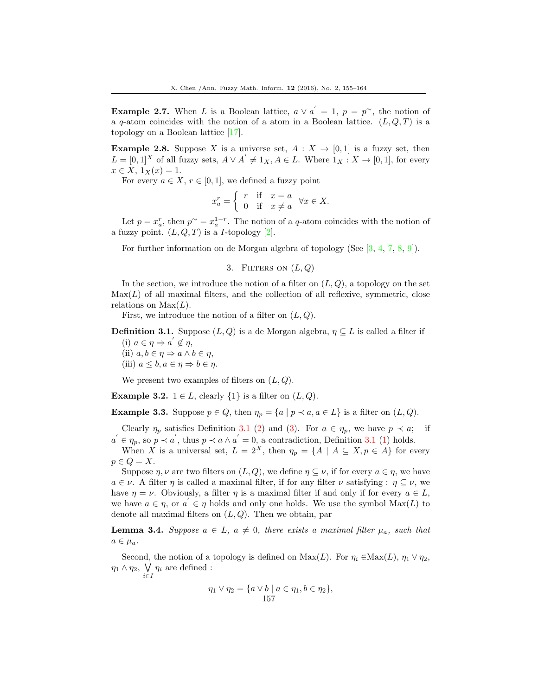**Example 2.7.** When L is a Boolean lattice,  $a \vee a' = 1$ ,  $p = p^{\sim}$ , the notion of a q-atom coincides with the notion of a atom in a Boolean lattice.  $(L, Q, T)$  is a topology on a Boolean lattice [\[17\]](#page-9-1).

**Example 2.8.** Suppose X is a universe set,  $A: X \to [0,1]$  is a fuzzy set, then  $L = [0,1]^X$  of all fuzzy sets,  $A \vee A' \neq 1_X, A \in L$ . Where  $1_X : X \to [0,1]$ , for every  $x \in X$ ,  $1_X(x) = 1$ .

For every  $a \in X$ ,  $r \in [0, 1]$ , we defined a fuzzy point

$$
x_a^r = \begin{cases} r & \text{if } x = a \\ 0 & \text{if } x \neq a \end{cases} \forall x \in X.
$$

Let  $p = x_a^r$ , then  $p^{\sim} = x_a^{1-r}$ . The notion of a q-atom coincides with the notion of a fuzzy point.  $(L, Q, T)$  is a *I*-topology [\[2\]](#page-8-6).

For further information on de Morgan algebra of topology (See [\[3,](#page-8-12) [4,](#page-8-13) [7,](#page-8-7) [8,](#page-8-8) [9\]](#page-8-5)).

3. FILTERS ON  $(L, Q)$ 

In the section, we introduce the notion of a filter on  $(L, Q)$ , a topology on the set  $\text{Max}(L)$  of all maximal filters, and the collection of all reflexive, symmetric, close relations on  $Max(L)$ .

First, we introduce the notion of a filter on  $(L, Q)$ .

**Definition 3.1.** Suppose  $(L, Q)$  is a de Morgan algebra,  $\eta \subseteq L$  is called a filter if (i)  $a \in \eta \Rightarrow a' \notin \eta$ ,

(ii)  $a, b \in \eta \Rightarrow a \wedge b \in \eta$ , (iii)  $a \leq b, a \in \eta \Rightarrow b \in \eta$ .

We present two examples of filters on  $(L, Q)$ .

Example 3.2.  $1 \in L$ , clearly  $\{1\}$  is a filter on  $(L, Q)$ .

**Example 3.3.** Suppose  $p \in Q$ , then  $\eta_p = \{a \mid p \prec a, a \in L\}$  is a filter on  $(L, Q)$ .

Clearly  $\eta_p$  satisfies Definition 3.1 (2) and (3). For  $a \in \eta_p$ , we have  $p \prec a$ ; if  $a' \in \eta_p$ , so  $p \prec a'$ , thus  $p \prec a \wedge a' = 0$ , a contradiction, Definition 3.1 (1) holds.

When X is a universal set,  $L = 2^X$ , then  $\eta_p = \{A \mid A \subseteq X, p \in A\}$  for every  $p \in Q = X$ .

Suppose  $\eta$ ,  $\nu$  are two filters on  $(L, Q)$ , we define  $\eta \subseteq \nu$ , if for every  $a \in \eta$ , we have  $a \in \nu$ . A filter  $\eta$  is called a maximal filter, if for any filter  $\nu$  satisfying :  $\eta \subset \nu$ , we have  $\eta = \nu$ . Obviously, a filter  $\eta$  is a maximal filter if and only if for every  $a \in L$ , we have  $a \in \eta$ , or  $a' \in \eta$  holds and only one holds. We use the symbol  $Max(L)$  to denote all maximal filters on  $(L, Q)$ . Then we obtain, par

**Lemma 3.4.** Suppose  $a \in L$ ,  $a \neq 0$ , there exists a maximal filter  $\mu_a$ , such that  $a \in \mu_a$ .

Second, the notion of a topology is defined on  $Max(L)$ . For  $\eta_i \in Max(L)$ ,  $\eta_1 \vee \eta_2$ ,  $\eta_1 \wedge \eta_2$ ,  $\bigvee$  $\bigvee_{i\in I}\eta_i$  are defined :

$$
\eta_1 \vee \eta_2 = \{ a \vee b \mid a \in \eta_1, b \in \eta_2 \},\
$$
  
157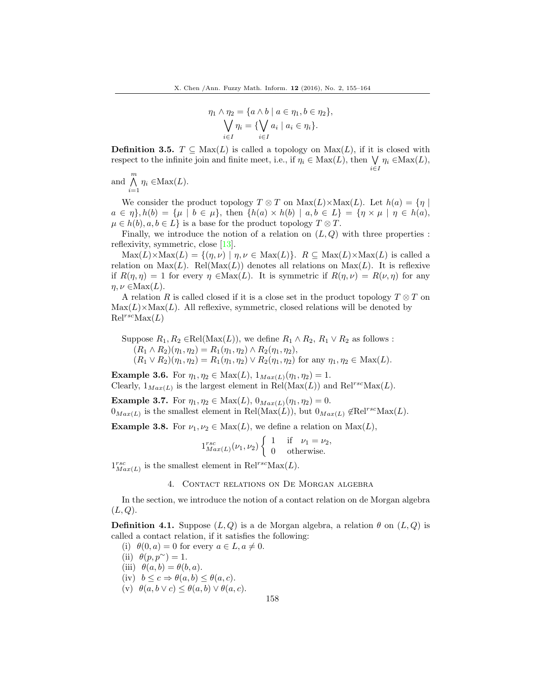$$
\eta_1 \wedge \eta_2 = \{a \wedge b \mid a \in \eta_1, b \in \eta_2\},
$$
  

$$
\bigvee_{i \in I} \eta_i = \{\bigvee_{i \in I} a_i \mid a_i \in \eta_i\}.
$$

**Definition 3.5.**  $T \subseteq Max(L)$  is called a topology on  $Max(L)$ , if it is closed with respect to the infinite join and finite meet, i.e., if  $\eta_i \in \text{Max}(L)$ , then  $\bigvee \eta_i \in \text{Max}(L)$ , i∈I

and  $\bigwedge^m$  $\bigwedge_{i=1} \eta_i \in \text{Max}(L).$ 

We consider the product topology  $T \otimes T$  on  $\text{Max}(L) \times \text{Max}(L)$ . Let  $h(a) = \{ \eta \mid$  $a \in \eta$ ,  $h(b) = \{\mu \mid b \in \mu\}$ , then  $\{h(a) \times h(b) \mid a, b \in L\} = \{\eta \times \mu \mid \eta \in h(a),\}$  $\mu \in h(b), a, b \in L$  is a base for the product topology  $T \otimes T$ .

Finally, we introduce the notion of a relation on  $(L, Q)$  with three properties : reflexivity, symmetric, close [\[13\]](#page-8-14).

 $\text{Max}(L)\times\text{Max}(L) = \{(\eta,\nu) \mid \eta,\nu \in \text{Max}(L)\}.$  R  $\subseteq \text{Max}(L)\times\text{Max}(L)$  is called a relation on  $\text{Max}(L)$ . Rel( $\text{Max}(L)$ ) denotes all relations on  $\text{Max}(L)$ . It is reflexive if  $R(\eta, \eta) = 1$  for every  $\eta \in \text{Max}(L)$ . It is symmetric if  $R(\eta, \nu) = R(\nu, \eta)$  for any  $\eta, \nu \in \text{Max}(L)$ .

A relation R is called closed if it is a close set in the product topology  $T \otimes T$  on  $\text{Max}(L) \times \text{Max}(L)$ . All reflexive, symmetric, closed relations will be denoted by  $\mathrm{Rel}^{rsc}\mathrm{Max}(L)$ 

Suppose  $R_1, R_2 \in \text{Rel}(\text{Max}(L))$ , we define  $R_1 \wedge R_2$ ,  $R_1 \vee R_2$  as follows :  $(R_1 \wedge R_2)(\eta_1, \eta_2) = R_1(\eta_1, \eta_2) \wedge R_2(\eta_1, \eta_2),$  $(R_1 \vee R_2)(\eta_1, \eta_2) = R_1(\eta_1, \eta_2) \vee R_2(\eta_1, \eta_2)$  for any  $\eta_1, \eta_2 \in \text{Max}(L)$ .

**Example 3.6.** For  $\eta_1, \eta_2 \in \text{Max}(L), 1_{Max(L)}(\eta_1, \eta_2) = 1.$ Clearly,  $1_{Max(L)}$  is the largest element in  $\text{Rel}(\text{Max}(L))$  and  $\text{Rel}^{rsc}\text{Max}(L)$ .

**Example 3.7.** For  $\eta_1, \eta_2 \in \text{Max}(L), 0_{Max(L)}(\eta_1, \eta_2) = 0.$  $0_{Max(L)}$  is the smallest element in Rel(Max(L)), but  $0_{Max(L)}$   $\notin$ Rel<sup>rsc</sup>Max(L).

**Example 3.8.** For  $\nu_1, \nu_2 \in Max(L)$ , we define a relation on  $Max(L)$ ,

$$
1_{Max(L)}^{rsc}(\nu_1, \nu_2) \begin{cases} 1 & \text{if } \nu_1 = \nu_2, \\ 0 & \text{otherwise.} \end{cases}
$$

 $1_{Max(L)}^{rsc}$  is the smallest element in  $\text{Rel}^{rsc} \text{Max}(L)$ .

### 4. Contact relations on De Morgan algebra

In the section, we introduce the notion of a contact relation on de Morgan algebra  $(L, Q).$ 

**Definition 4.1.** Suppose  $(L, Q)$  is a de Morgan algebra, a relation  $\theta$  on  $(L, Q)$  is called a contact relation, if it satisfies the following:

- (i)  $\theta(0, a) = 0$  for every  $a \in L, a \neq 0$ .
- (ii)  $\theta(p, p^{\sim}) = 1$ .
- (iii)  $\theta(a, b) = \theta(b, a)$ .
- (iv)  $b \leq c \Rightarrow \theta(a, b) \leq \theta(a, c)$ .
- (v)  $\theta(a, b \vee c) \leq \theta(a, b) \vee \theta(a, c)$ .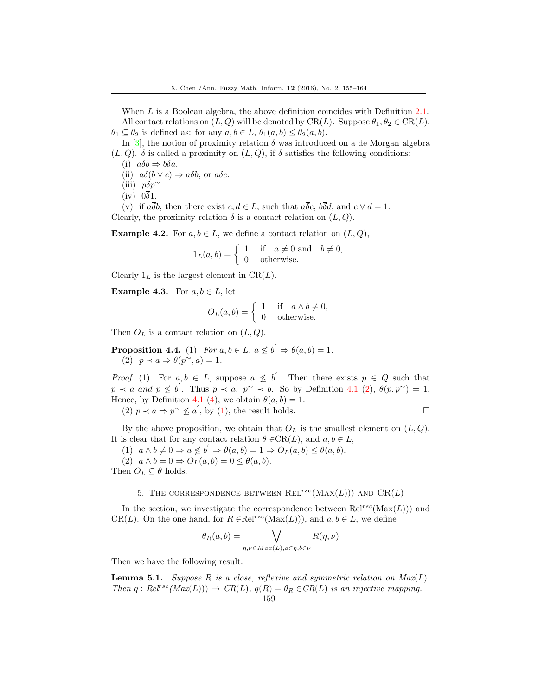When L is a Boolean algebra, the above definition coincides with Definition 2.1. All contact relations on  $(L, Q)$  will be denoted by  $CR(L)$ . Suppose  $\theta_1, \theta_2 \in CR(L)$ ,  $\theta_1 \subseteq \theta_2$  is defined as: for any  $a, b \in L$ ,  $\theta_1(a, b) \leq \theta_2(a, b)$ .

In [\[3\]](#page-8-12), the notion of proximity relation  $\delta$  was introduced on a de Morgan algebra  $(L, Q)$ .  $\delta$  is called a proximity on  $(L, Q)$ , if  $\delta$  satisfies the following conditions:

- (i)  $a\delta b \Rightarrow b\delta a$ .
- (ii)  $a\delta(b \vee c) \Rightarrow a\delta b$ , or  $a\delta c$ .
- (iii)  $p\delta p^{\sim}$ .
- $(iv)$   $0\overline{\delta}1$ .

(v) if  $a\overline{\delta}b$ , then there exist  $c, d \in L$ , such that  $a\overline{\delta}c$ ,  $b\overline{\delta}d$ , and  $c \vee d = 1$ . Clearly, the proximity relation  $\delta$  is a contact relation on  $(L, Q)$ .

**Example 4.2.** For  $a, b \in L$ , we define a contact relation on  $(L, Q)$ ,

$$
1_L(a,b) = \begin{cases} 1 & \text{if } a \neq 0 \text{ and } b \neq 0, \\ 0 & \text{otherwise.} \end{cases}
$$

Clearly  $1_L$  is the largest element in CR( $L$ ).

**Example 4.3.** For  $a, b \in L$ , let

$$
O_L(a, b) = \begin{cases} 1 & \text{if } a \wedge b \neq 0, \\ 0 & \text{otherwise.} \end{cases}
$$

Then  $O_L$  is a contact relation on  $(L, Q)$ .

**Proposition 4.4.** (1) For  $a, b \in L$ ,  $a \nleq b' \Rightarrow \theta(a, b) = 1$ . (2)  $p \prec a \Rightarrow \theta(p^{\sim}, a) = 1.$ 

*Proof.* (1) For  $a, b \in L$ , suppose  $a \not\leq b'$ . Then there exists  $p \in Q$  such that  $p \prec a$  and  $p \not\leq b'$ . Thus  $p \prec a$ ,  $p^{\sim} \prec b$ . So by Definition 4.1 (2),  $\theta(p, p^{\sim}) = 1$ . Hence, by Definition 4.1 (4), we obtain  $\theta(a, b) = 1$ .

(2)  $p \prec a \Rightarrow p^{\sim} \not\leq a'$ , by (1), the result holds.

By the above proposition, we obtain that  $O_L$  is the smallest element on  $(L, Q)$ . It is clear that for any contact relation  $\theta \in CR(L)$ , and  $a, b \in L$ ,

(1)  $a \wedge b \neq 0 \Rightarrow a \nleq b' \Rightarrow \theta(a, b) = 1 \Rightarrow O_L(a, b) \leq \theta(a, b).$ (2)  $a \wedge b = 0 \Rightarrow O_L(a, b) = 0 \leq \theta(a, b).$ 

Then  $O_L \subseteq \theta$  holds.

### 5. THE CORRESPONDENCE BETWEEN REL<sup>rsc</sup>(MAX(L))) AND CR(L)

In the section, we investigate the correspondence between  $Rel^{rsc}(\text{Max}(L))$  and CR(L). On the one hand, for  $R \in \text{Rel}^{rsc}(\text{Max}(L))$ , and  $a, b \in L$ , we define

$$
\theta_R(a,b) = \bigvee_{\eta,\nu \in Max(L), a \in \eta, b \in \nu} R(\eta,\nu)
$$

Then we have the following result.

**Lemma 5.1.** Suppose R is a close, reflexive and symmetric relation on  $Max(L)$ . Then  $q : Re^{rsc}(Max(L))) \rightarrow CR(L), q(R) = \theta_R \in CR(L)$  is an injective mapping.

159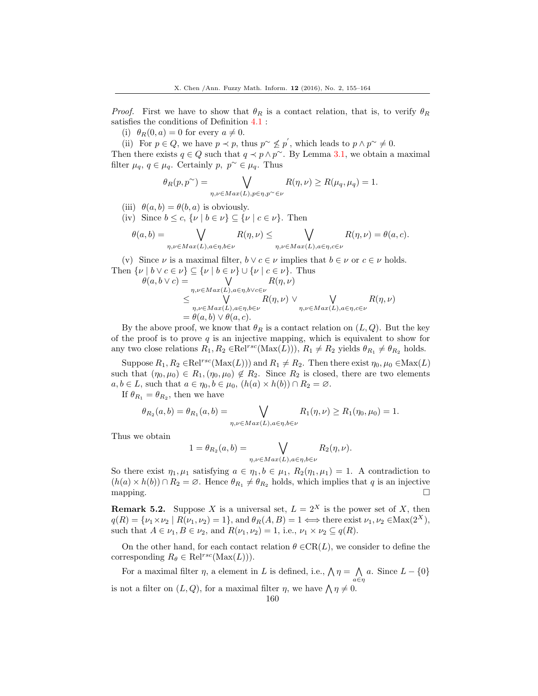*Proof.* First we have to show that  $\theta_R$  is a contact relation, that is, to verify  $\theta_R$ satisfies the conditions of Definition 4.1 :

(i)  $\theta_R(0, a) = 0$  for every  $a \neq 0$ .

(ii) For  $p \in Q$ , we have  $p \prec p$ , thus  $p \sim \nleq p'$ , which leads to  $p \wedge p \sim \neq 0$ .

Then there exists  $q \in Q$  such that  $q \prec p \land p^{\sim}$ . By Lemma 3.1, we obtain a maximal filter  $\mu_q, q \in \mu_q$ . Certainly  $p, p^{\sim} \in \mu_q$ . Thus

$$
\theta_R(p, p^{\sim}) = \bigvee_{\eta, \nu \in Max(L), p \in \eta, p^{\sim} \in \nu} R(\eta, \nu) \ge R(\mu_q, \mu_q) = 1.
$$

- (iii)  $\theta(a, b) = \theta(b, a)$  is obviously.
- (iv) Since  $b \leq c, \{ \nu \mid b \in \nu \} \subseteq \{ \nu \mid c \in \nu \}.$  Then

$$
\theta(a,b) = \bigvee_{\eta,\nu \in Max(L), a \in \eta, b \in \nu} R(\eta,\nu) \le \bigvee_{\eta,\nu \in Max(L), a \in \eta, c \in \nu} R(\eta,\nu) = \theta(a,c).
$$

(v) Since  $\nu$  is a maximal filter,  $b \vee c \in \nu$  implies that  $b \in \nu$  or  $c \in \nu$  holds. Then  $\{\nu \mid b \vee c \in \nu\} \subseteq \{\nu \mid b \in \nu\} \cup \{\nu \mid c \in \nu\}$ . Thus

$$
\theta(a, b \lor c) = \bigvee_{\substack{\eta, \nu \in Max(L), a \in \eta, b \lor c \in \nu \\ \leq \bigvee_{\eta, \nu \in Max(L), a \in \eta, b \in \nu}} R(\eta, \nu) \lor \bigvee_{\substack{\eta, \nu \in Max(L), a \in \eta, b \in \nu \\ \theta(a, b) \lor \theta(a, c).}} R(\eta, \nu) \lor \bigvee_{\eta, \nu \in Max(L), a \in \eta, c \in \nu} R(\eta, \nu)
$$

By the above proof, we know that  $\theta_R$  is a contact relation on  $(L, Q)$ . But the key of the proof is to prove  $q$  is an injective mapping, which is equivalent to show for any two close relations  $R_1, R_2 \in \text{Rel}^{rsc}(\text{Max}(L))$ ),  $R_1 \neq R_2$  yields  $\theta_{R_1} \neq \theta_{R_2}$  holds.

Suppose  $R_1, R_2 \in \text{Rel}^{rsc}(\text{Max}(L))$  and  $R_1 \neq R_2$ . Then there exist  $\eta_0, \mu_0 \in \text{Max}(L)$ such that  $(\eta_0, \mu_0) \in R_1, (\eta_0, \mu_0) \notin R_2$ . Since  $R_2$  is closed, there are two elements  $a, b \in L$ , such that  $a \in \eta_0, b \in \mu_0$ ,  $(h(a) \times h(b)) \cap R_2 = \emptyset$ .

If  $\theta_{R_1} = \theta_{R_2}$ , then we have

$$
\theta_{R_2}(a,b) = \theta_{R_1}(a,b) = \bigvee_{\eta,\nu \in Max(L), a \in \eta, b \in \nu} R_1(\eta,\nu) \ge R_1(\eta_0,\mu_0) = 1.
$$

Thus we obtain

$$
1 = \theta_{R_2}(a, b) = \bigvee_{\eta, \nu \in Max(L), a \in \eta, b \in \nu} R_2(\eta, \nu).
$$

So there exist  $\eta_1, \mu_1$  satisfying  $a \in \eta_1, b \in \mu_1, R_2(\eta_1, \mu_1) = 1$ . A contradiction to  $(h(a) \times h(b)) \cap R_2 = \emptyset$ . Hence  $\theta_{R_1} \neq \theta_{R_2}$  holds, which implies that q is an injective mapping.  $\square$ 

**Remark 5.2.** Suppose X is a universal set,  $L = 2^X$  is the power set of X, then  $q(R) = \{\nu_1 \times \nu_2 \mid R(\nu_1, \nu_2) = 1\}$ , and  $\theta_R(A, B) = 1 \Longleftrightarrow$  there exist  $\nu_1, \nu_2 \in \text{Max}(2^X)$ , such that  $A \in \nu_1, B \in \nu_2$ , and  $R(\nu_1, \nu_2) = 1$ , i.e.,  $\nu_1 \times \nu_2 \subseteq q(R)$ .

On the other hand, for each contact relation  $\theta \in CR(L)$ , we consider to define the corresponding  $R_{\theta} \in \text{Rel}^{rsc}(\text{Max}(L))$ .

For a maximal filter  $\eta$ , a element in L is defined, i.e.,  $\Lambda \eta = \Lambda a$ . Since  $L - \{0\}$ a∈η is not a filter on  $(L, Q)$ , for a maximal filter  $\eta$ , we have  $\eta \neq 0$ .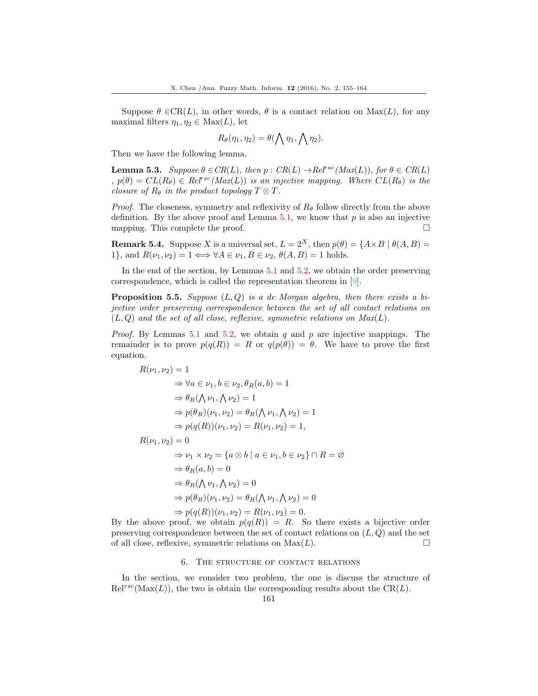Suppose  $\theta \in CR(L)$ , in other words,  $\theta$  is a contact relation on  $Max(L)$ , for any maximal filters  $\eta_1, \eta_2 \in \text{Max}(L)$ , let

$$
R_{\theta}(\eta_1, \eta_2) = \theta(\bigwedge \eta_1, \bigwedge \eta_2).
$$

Then we have the following lemma.

**Lemma 5.3.** Suppose  $\theta \in CR(L)$ , then  $p: CR(L) \rightarrow Rel^{rsc}(Max(L))$ , for  $\theta \in CR(L)$ ,  $p(\theta) = CL(R_{\theta}) \in Rel^{rsc}(Max(L))$  is an injective mapping. Where  $CL(R_{\theta})$  is the closure of  $R_{\theta}$  in the product topology  $T \otimes T$ .

*Proof.* The closeness, symmetry and reflexivity of  $R_\theta$  follow directly from the above definition. By the above proof and Lemma  $5.1$ , we know that p is also an injective mapping. This complete the proof.  $\Box$ 

**Remark 5.4.** Suppose X is a universal set,  $L = 2^X$ , then  $p(\theta) = \{A \times B \mid \theta(A, B) =$ 1}, and  $R(\nu_1, \nu_2) = 1 \Longleftrightarrow \forall A \in \nu_1, B \in \nu_2, \theta(A, B) = 1$  holds.

In the end of the section, by Lemmas 5.1 and 5.2, we obtain the order preserving correspondence, which is called the representation theorem in [\[9\]](#page-8-5).

**Proposition 5.5.** Suppose  $(L, Q)$  is a de Morgan algebra, then there exists a bijective order preserving correspondence between the set of all contact relations on  $(L, Q)$  and the set of all close, reflexive, symmetric relations on  $Max(L)$ .

*Proof.* By Lemmas 5.1 and 5.2, we obtain q and p are injective mappings. The remainder is to prove  $p(q(R)) = R$  or  $q(p(\theta)) = \theta$ . We have to prove the first equation.

$$
R(\nu_1, \nu_2) = 1
$$
  
\n
$$
\Rightarrow \forall a \in \nu_1, b \in \nu_2, \theta_R(a, b) = 1
$$
  
\n
$$
\Rightarrow \theta_R(\bigwedge \nu_1, \bigwedge \nu_2) = 1
$$
  
\n
$$
\Rightarrow p(\theta_R)(\nu_1, \nu_2) = \theta_R(\bigwedge \nu_1, \bigwedge \nu_2) = 1
$$
  
\n
$$
\Rightarrow p(q(R))( \nu_1, \nu_2) = R(\nu_1, \nu_2) = 1,
$$
  
\n
$$
R(\nu_1, \nu_2) = 0
$$
  
\n
$$
\Rightarrow \nu_1 \times \nu_2 = \{a \otimes b \mid a \in \nu_1, b \in \nu_2\} \cap R = \emptyset
$$
  
\n
$$
\Rightarrow \theta_R(a, b) = 0
$$
  
\n
$$
\Rightarrow \theta_R(\bigwedge \nu_1, \bigwedge \nu_2) = 0
$$
  
\n
$$
\Rightarrow p(\theta_R)(\nu_1, \nu_2) = \theta_R(\bigwedge \nu_1, \bigwedge \nu_2) = 0
$$
  
\n
$$
\Rightarrow p(q(R))( \nu_1, \nu_2) = R(\nu_1, \nu_2) = 0.
$$

By the above proof, we obtain  $p(q(R)) = R$ . So there exists a bijective order preserving correspondence between the set of contact relations on  $(L, Q)$  and the set of all close, reflexive, symmetric relations on  $\text{Max}(L)$ .

### 6. The structure of contact relations

In the section, we consider two problem, the one is discuss the structure of  $\text{Rel}^{rsc}(\text{Max}(L))$ , the two is obtain the corresponding results about the CR(L).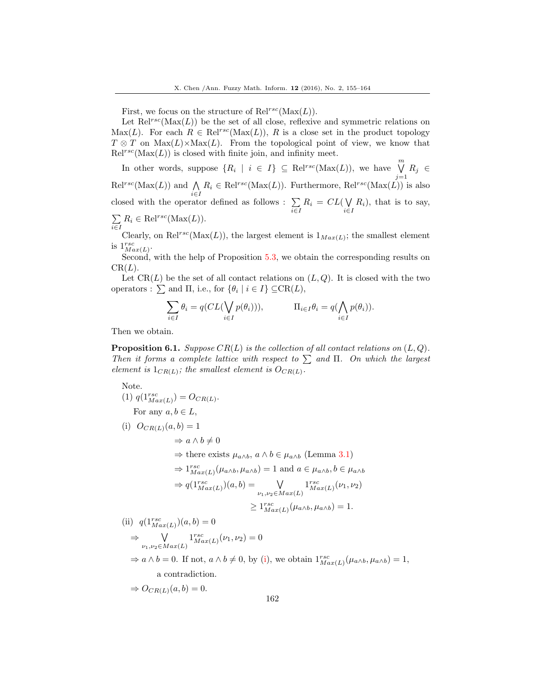First, we focus on the structure of  $\text{Rel}^{rsc}(\text{Max}(L)).$ 

Let  $\text{Rel}^{rsc}(\text{Max}(L))$  be the set of all close, reflexive and symmetric relations on Max(L). For each  $R \in \text{Rel}^{rsc}(\text{Max}(L))$ , R is a close set in the product topology  $T \otimes T$  on  $\text{Max}(L) \times \text{Max}(L)$ . From the topological point of view, we know that  $\mathrm{Rel}^{rsc}(\mathrm{Max}(L))$  is closed with finite join, and infinity meet.

In other words, suppose  $\{R_i \mid i \in I\} \subseteq \text{Rel}^{rsc}(\text{Max}(L))$ , we have  $\bigvee^m$  $\bigvee_{j=1} R_j \in$  $\text{Rel}^{rsc}(\text{Max}(L))$  and  $\bigwedge$  $\bigwedge_{i\in I} R_i \in \text{Rel}^{rsc}(\text{Max}(L))$ . Furthermore,  $\text{Rel}^{rsc}(\text{Max}(L))$  is also closed with the operator defined as follows :  $\Sigma$  $\sum\limits_{i\in I}R_i = \mathop{CL}(\bigvee\limits_{i\in I}$  $\bigvee_{i\in I} R_i$ , that is to say, P  $\sum_{i \in I} R_i \in \text{Rel}^{rsc}(\text{Max}(L)).$ 

Clearly, on Rel<sup>rsc</sup>(Max(L)), the largest element is  $1_{Max(L)}$ ; the smallest element is  $1^{rsc}_{Max(L)}$ .

Second, with the help of Proposition 5.3, we obtain the corresponding results on  $CR(L)$ .

Let  $CR(L)$  be the set of all contact relations on  $(L, Q)$ . It is closed with the two operators :  $\sum$  and  $\Pi$ , i.e., for  $\{\theta_i \mid i \in I\} \subseteq \text{CR}(L)$ ,

$$
\sum_{i \in I} \theta_i = q(CL(\bigvee_{i \in I} p(\theta_i))), \qquad \Pi_{i \in I} \theta_i = q(\bigwedge_{i \in I} p(\theta_i)).
$$

Then we obtain.

**Proposition 6.1.** Suppose  $CR(L)$  is the collection of all contact relations on  $(L, Q)$ . Then it forms a complete lattice with respect to  $\sum$  and  $\Pi$ . On which the largest element is  $1_{CR(L)}$ ; the smallest element is  $O_{CR(L)}$ .

Note.

(1) 
$$
q(1_{Max(L)}^{rsc}) = O_{CR(L)}
$$
.  
For any  $a, b \in L$ ,

(i) 
$$
O_{CR(L)}(a, b) = 1
$$
  
\n $\Rightarrow a \land b \neq 0$   
\n $\Rightarrow$  there exists  $\mu_{a \land b}, a \land b \in \mu_{a \land b}$  (Lemma 3.1)  
\n $\Rightarrow 1_{Max(L)}^{rsc}(\mu_{a \land b}, \mu_{a \land b}) = 1$  and  $a \in \mu_{a \land b}, b \in \mu_{a \land b}$   
\n $\Rightarrow q(1_{Max(L)}^{rsc})(a, b) = \bigvee_{\nu_1, \nu_2 \in Max(L)} 1_{Max(L)}^{rsc}(\nu_1, \nu_2)$   
\n $\geq 1_{Max(L)}^{rsc}(\mu_{a \land b}, \mu_{a \land b}) = 1.$   
\n(ii)  $q(1_{Max(L)}^{rsc})(a, b) = 0$ 

$$
\begin{aligned}\n\text{(1)} \quad & q(\mathbf{1}_{Max(L)})(a, b) = 0 \\
&\Rightarrow \quad \bigvee_{\nu_1, \nu_2 \in Max(L)} \mathbf{1}_{Max(L)}^{rsc}(\nu_1, \nu_2) = 0 \\
&\Rightarrow a \land b = 0. \text{ If not, } a \land b \neq 0, \text{ by (i), we obtain } \mathbf{1}_{Max(L)}^{rsc}(\mu_{a \land b}, \mu_{a \land b}) = 1, \\
&\text{a contradiction.}\n\end{aligned}
$$

$$
\Rightarrow O_{CR(L)}(a, b) = 0.
$$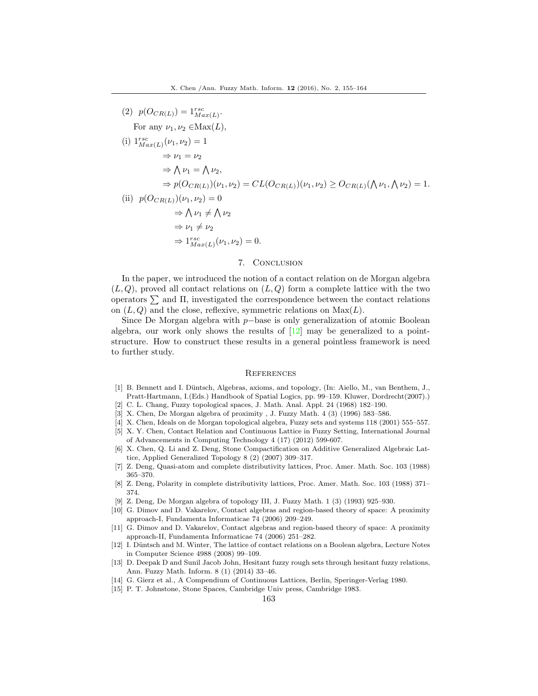(2) 
$$
p(O_{CR(L)}) = 1_{Max(L)}^{rsc}
$$
  
\nFor any  $\nu_1, \nu_2 \in Max(L)$ ,  
\n(i)  $1_{Max(L)}^{rsc}(\nu_1, \nu_2) = 1$   
\n $\Rightarrow \nu_1 = \nu_2$   
\n $\Rightarrow \bigwedge \nu_1 = \bigwedge \nu_2$ ,  
\n $\Rightarrow p(O_{CR(L)})(\nu_1, \nu_2) = CL(O_{CR(L)})(\nu_1, \nu_2) \geq O_{CR(L)}(\bigwedge \nu_1, \bigwedge \nu_2) = 1.$   
\n(ii)  $p(O_{CR(L)})(\nu_1, \nu_2) = 0$   
\n $\Rightarrow \bigwedge \nu_1 \neq \bigwedge \nu_2$   
\n $\Rightarrow \nu_1 \neq \nu_2$   
\n $\Rightarrow 1_{Max(L)}^{rsc}(\nu_1, \nu_2) = 0.$ 

### 7. Conclusion

In the paper, we introduced the notion of a contact relation on de Morgan algebra  $(L, Q)$ , proved all contact relations on  $(L, Q)$  form a complete lattice with the two operators  $\sum$  and  $\Pi$ , investigated the correspondence between the contact relations on  $(L, Q)$  and the close, reflexive, symmetric relations on  $Max(L)$ .

Since De Morgan algebra with p−base is only generalization of atomic Boolean algebra, our work only shows the results of  $[12]$  may be generalized to a pointstructure. How to construct these results in a general pointless framework is need to further study.

#### **REFERENCES**

- <span id="page-8-0"></span>[1] B. Bennett and I. Düntsch, Algebras, axioms, and topology, (In: Aiello, M., van Benthem, J., Pratt-Hartmann, I.(Eds.) Handbook of Spatial Logics, pp. 99–159. Kluwer, Dordrecht(2007).)
- <span id="page-8-6"></span>[2] C. L. Chang, Fuzzy topological spaces, J. Math. Anal. Appl. 24 (1968) 182–190.
- <span id="page-8-12"></span>[3] X. Chen, De Morgan algebra of proximity , J. Fuzzy Math. 4 (3) (1996) 583–586.
- <span id="page-8-13"></span>[4] X. Chen, Ideals on de Morgan topological algebra, Fuzzy sets and systems 118 (2001) 555–557.
- <span id="page-8-4"></span>[5] X. Y. Chen, Contact Relation and Continuous Lattice in Fuzzy Setting, International Journal of Advancements in Computing Technology 4 (17) (2012) 599-607.
- <span id="page-8-10"></span>[6] X. Chen, Q. Li and Z. Deng, Stone Compactification on Additive Generalized Algebraic Lattice, Applied Generalized Topology 8 (2) (2007) 309–317.
- <span id="page-8-7"></span>[7] Z. Deng, Quasi-atom and complete distributivity lattices, Proc. Amer. Math. Soc. 103 (1988) 365–370.
- <span id="page-8-8"></span>[8] Z. Deng, Polarity in complete distributivity lattices, Proc. Amer. Math. Soc. 103 (1988) 371– 374.
- <span id="page-8-5"></span>[9] Z. Deng, De Morgan algebra of topology III, J. Fuzzy Math. 1 (3) (1993) 925–930.
- <span id="page-8-1"></span>[10] G. Dimov and D. Vakarelov, Contact algebras and region-based theory of space: A proximity approach-I, Fundamenta Informaticae 74 (2006) 209–249.
- <span id="page-8-2"></span>[11] G. Dimov and D. Vakarelov, Contact algebras and region-based theory of space: A proximity approach-II, Fundamenta Informaticae 74 (2006) 251–282.
- <span id="page-8-3"></span>[12] I. Düntsch and M. Winter, The lattice of contact relations on a Boolean algebra, Lecture Notes in Computer Science 4988 (2008) 99–109.
- <span id="page-8-14"></span>[13] D. Deepak D and Sunil Jacob John, Hesitant fuzzy rough sets through hesitant fuzzy relations, Ann. Fuzzy Math. Inform. 8 (1) (2014) 33–46.
- <span id="page-8-9"></span>[14] G. Gierz et al., A Compendium of Continuous Lattices, Berlin, Speringer-Verlag 1980.
- <span id="page-8-11"></span>[15] P. T. Johnstone, Stone Spaces, Cambridge Univ press, Cambridge 1983.